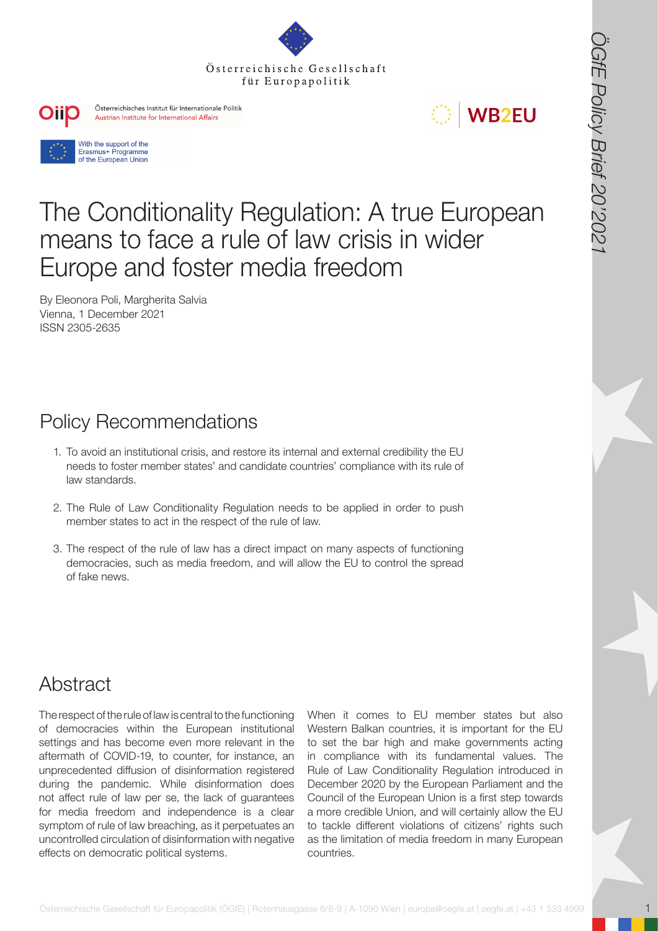







# **FOREFRIGHTER** (FIRE EUROPEAN CONTROL) (The EUROPEAN CONTROL) IS a company of the Condition of the Condition of the Condition of the Condition of the Condition of the Condition of the Condition of the Condition of the Cond The Conditionality Regulation: A true European means to face a rule of law crisis in wider Europe and foster media freedom

By Eleonora Poli, Margherita Salvia Vienna, 1 December 2021 ISSN 2305-2635

# Policy Recommendations

- 1. To avoid an institutional crisis, and restore its internal and external credibility the EU needs to foster member states' and candidate countries' compliance with its rule of law standards.
- 2. The Rule of Law Conditionality Regulation needs to be applied in order to push member states to act in the respect of the rule of law.
- 3. The respect of the rule of law has a direct impact on many aspects of functioning democracies, such as media freedom, and will allow the EU to control the spread of fake news.

### **Abstract**

The respect of the rule of law is central to the functioning of democracies within the European institutional settings and has become even more relevant in the aftermath of COVID-19, to counter, for instance, an unprecedented diffusion of disinformation registered during the pandemic. While disinformation does not affect rule of law per se, the lack of guarantees for media freedom and independence is a clear symptom of rule of law breaching, as it perpetuates an uncontrolled circulation of disinformation with negative effects on democratic political systems.

When it comes to EU member states but also Western Balkan countries, it is important for the EU to set the bar high and make governments acting in compliance with its fundamental values. The Rule of Law Conditionality Regulation introduced in December 2020 by the European Parliament and the Council of the European Union is a first step towards a more credible Union, and will certainly allow the EU to tackle different violations of citizens' rights such as the limitation of media freedom in many European countries.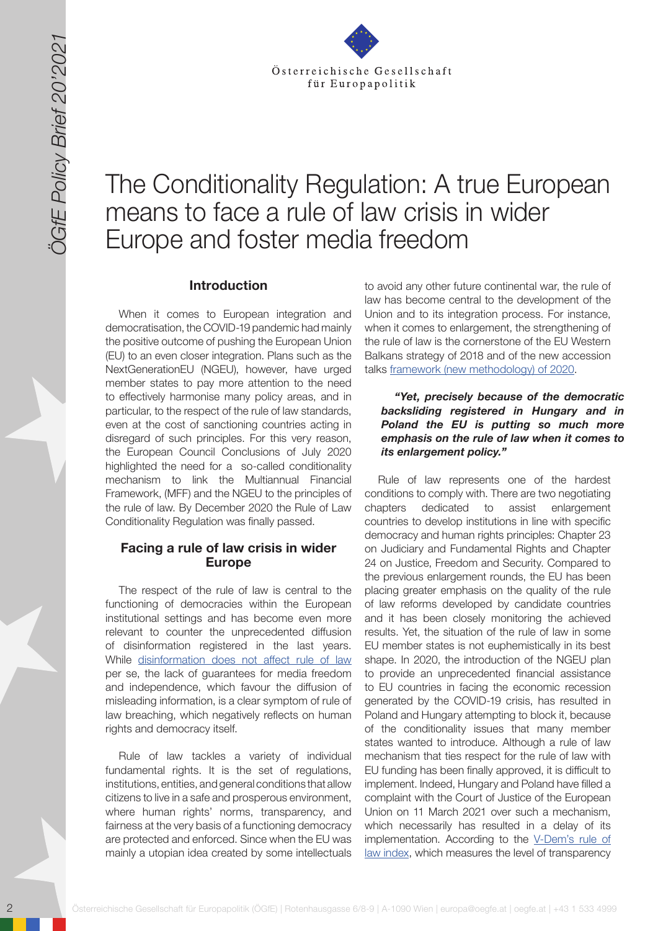

# The Conditionality Regulation: A true European means to face a rule of law crisis in wider Europe and foster media freedom

#### **Introduction**

When it comes to European integration and democratisation, the COVID-19 pandemic had mainly the positive outcome of pushing the European Union (EU) to an even closer integration. Plans such as the NextGenerationEU (NGEU), however, have urged member states to pay more attention to the need to effectively harmonise many policy areas, and in particular, to the respect of the rule of law standards, even at the cost of sanctioning countries acting in disregard of such principles. For this very reason, the European Council Conclusions of July 2020 highlighted the need for a so-called conditionality mechanism to link the Multiannual Financial Framework, (MFF) and the NGEU to the principles of the rule of law. By December 2020 the Rule of Law Conditionality Regulation was finally passed.

#### **Facing a rule of law crisis in wider Europe**

The respect of the rule of law is central to the functioning of democracies within the European institutional settings and has become even more relevant to counter the unprecedented diffusion of disinformation registered in the last years. While [disinformation does not affect rule of law](https://papers.ssrn.com/sol3/papers.cfm?abstract_id=3409279) per se, the lack of guarantees for media freedom and independence, which favour the diffusion of misleading information, is a clear symptom of rule of law breaching, which negatively reflects on human rights and democracy itself.

Rule of law tackles a variety of individual fundamental rights. It is the set of regulations, institutions, entities, and general conditions that allow citizens to live in a safe and prosperous environment, where human rights' norms, transparency, and fairness at the very basis of a functioning democracy are protected and enforced. Since when the EU was mainly a utopian idea created by some intellectuals to avoid any other future continental war, the rule of law has become central to the development of the Union and to its integration process. For instance, when it comes to enlargement, the strengthening of the rule of law is the cornerstone of the EU Western Balkans strategy of 2018 and of the new accession talks [framework \(new methodology\) of 2020.](https://link.springer.com/article/10.1007/s40803-020-00148-w)

#### *"Yet, precisely because of the democratic backsliding registered in Hungary and in Poland the EU is putting so much more emphasis on the rule of law when it comes to its enlargement policy."*

<sup>22</sup><br>
<sup>22</sup> <sup>O</sup> <sup>22</sup> O Conditionality Regulation: A true European<br>
23<br>
23<br> **23**<br> **24**<br> **24**<br> **24**<br> **24**<br> **24**<br> **24**<br> **24**<br> **24**<br> **24**<br> **24**<br> **24**<br> **24**<br> **24**<br> **24**<br> **24**<br> **24**<br> **24**<br> **24**<br> **24**<br> **24**<br> **24**<br> **24**<br> **24**<br> **24** Rule of law represents one of the hardest conditions to comply with. There are two negotiating chapters dedicated to assist enlargement countries to develop institutions in line with specific democracy and human rights principles: Chapter 23 on Judiciary and Fundamental Rights and Chapter 24 on Justice, Freedom and Security. Compared to the previous enlargement rounds, the EU has been placing greater emphasis on the quality of the rule of law reforms developed by candidate countries and it has been closely monitoring the achieved results. Yet, the situation of the rule of law in some EU member states is not euphemistically in its best shape. In 2020, the introduction of the NGEU plan to provide an unprecedented financial assistance to EU countries in facing the economic recession generated by the COVID-19 crisis, has resulted in Poland and Hungary attempting to block it, because of the conditionality issues that many member states wanted to introduce. Although a rule of law mechanism that ties respect for the rule of law with EU funding has been finally approved, it is difficult to implement. Indeed, Hungary and Poland have filled a complaint with the Court of Justice of the European Union on 11 March 2021 over such a mechanism, which necessarily has resulted in a delay of its implementation. According to the [V-Dem's rule of](https://www.v-dem.net/en/news/rule-law-eastern-europe-hungary-and-poland-comparison/)  [law index](https://www.v-dem.net/en/news/rule-law-eastern-europe-hungary-and-poland-comparison/), which measures the level of transparency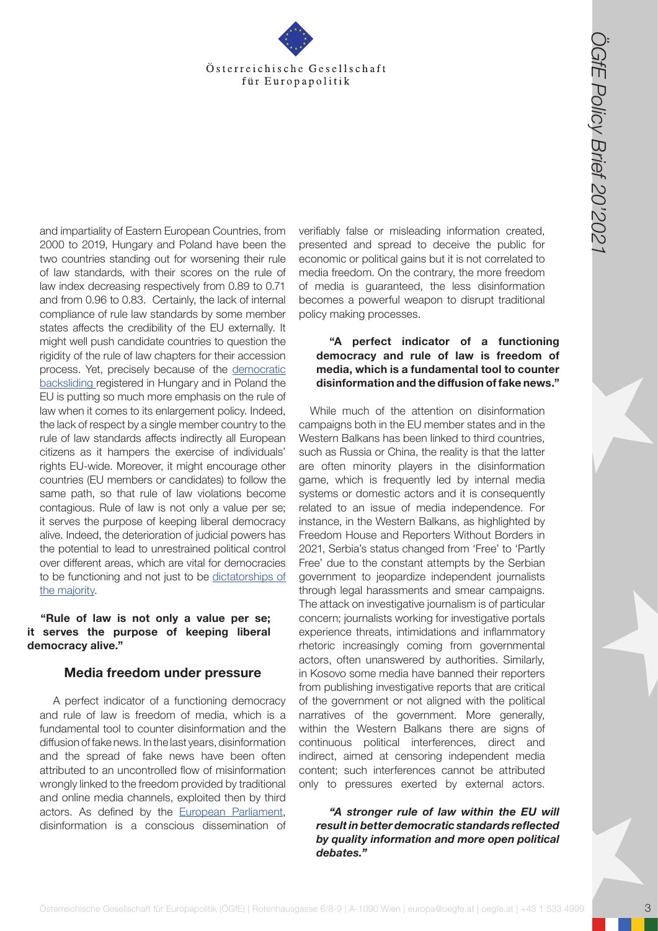

and impartiality of Eastern European Countries, from 2000 to 2019, Hungary and Poland have been the two countries standing out for worsening their rule of law standards, with their scores on the rule of law index decreasing respectively from 0.89 to 0.71 and from 0.96 to 0.83. Certainly, the lack of internal compliance of rule law standards by some member states affects the credibility of the EU externally. It might well push candidate countries to question the rigidity of the rule of law chapters for their accession process. Yet, precisely because of the [democratic](https://link.springer.com/article/10.1007/s40803-020-00148-w)  [backsliding](https://link.springer.com/article/10.1007/s40803-020-00148-w) registered in Hungary and in Poland the EU is putting so much more emphasis on the rule of law when it comes to its enlargement policy. Indeed, the lack of respect by a single member country to the rule of law standards affects indirectly all European citizens as it hampers the exercise of individuals' rights EU-wide. Moreover, it might encourage other countries (EU members or candidates) to follow the same path, so that rule of law violations become contagious. Rule of law is not only a value per se; it serves the purpose of keeping liberal democracy alive. Indeed, the deterioration of judicial powers has the potential to lead to unrestrained political control over different areas, which are vital for democracies to be functioning and not just to be [dictatorships of](https://papers.ssrn.com/sol3/papers.cfm?abstract_id=3409279)  [the majority](https://papers.ssrn.com/sol3/papers.cfm?abstract_id=3409279).

**"Rule of law is not only a value per se; it serves the purpose of keeping liberal democracy alive."** 

#### **Media freedom under pressure**

A perfect indicator of a functioning democracy and rule of law is freedom of media, which is a fundamental tool to counter disinformation and the diffusion of fake news. In the last years, disinformation and the spread of fake news have been often attributed to an uncontrolled flow of misinformation wrongly linked to the freedom provided by traditional and online media channels, exploited then by third actors. As defined by the [European Parliament,](https://www.europarl.europa.eu/RegData/etudes/STUD/2020/653621/EXPO_STU(2020)653621_EN.pdf) disinformation is a conscious dissemination of

verifiably false or misleading information created, presented and spread to deceive the public for economic or political gains but it is not correlated to media freedom. On the contrary, the more freedom of media is guaranteed, the less disinformation becomes a powerful weapon to disrupt traditional policy making processes.

#### **"A perfect indicator of a functioning democracy and rule of law is freedom of media, which is a fundamental tool to counter disinformation and the diffusion of fake news."**

Österreichische Gesellschaft<br>
(The Europapolitik (The Europapolitik Constraint für Europapolitik (The Europapolitik Constraint Constraint Constraint Constraint Constraint Constraint Constraint Constraint Constraint Constr While much of the attention on disinformation campaigns both in the EU member states and in the Western Balkans has been linked to third countries, such as Russia or China, the reality is that the latter are often minority players in the disinformation game, which is frequently led by internal media systems or domestic actors and it is consequently related to an issue of media independence. For instance, in the Western Balkans, as highlighted by Freedom House and Reporters Without Borders in 2021, Serbia's status changed from 'Free' to 'Partly Free' due to the constant attempts by the Serbian government to jeopardize independent journalists through legal harassments and smear campaigns. The attack on investigative journalism is of particular concern; journalists working for investigative portals experience threats, intimidations and inflammatory rhetoric increasingly coming from governmental actors, often unanswered by authorities. Similarly, in Kosovo some media have banned their reporters from publishing investigative reports that are critical of the government or not aligned with the political narratives of the government. More generally, within the Western Balkans there are signs of continuous political interferences, direct and indirect, aimed at censoring independent media content; such interferences cannot be attributed only to pressures exerted by external actors.

*"A stronger rule of law within the EU will result in better democratic standards reflected by quality information and more open political debates."*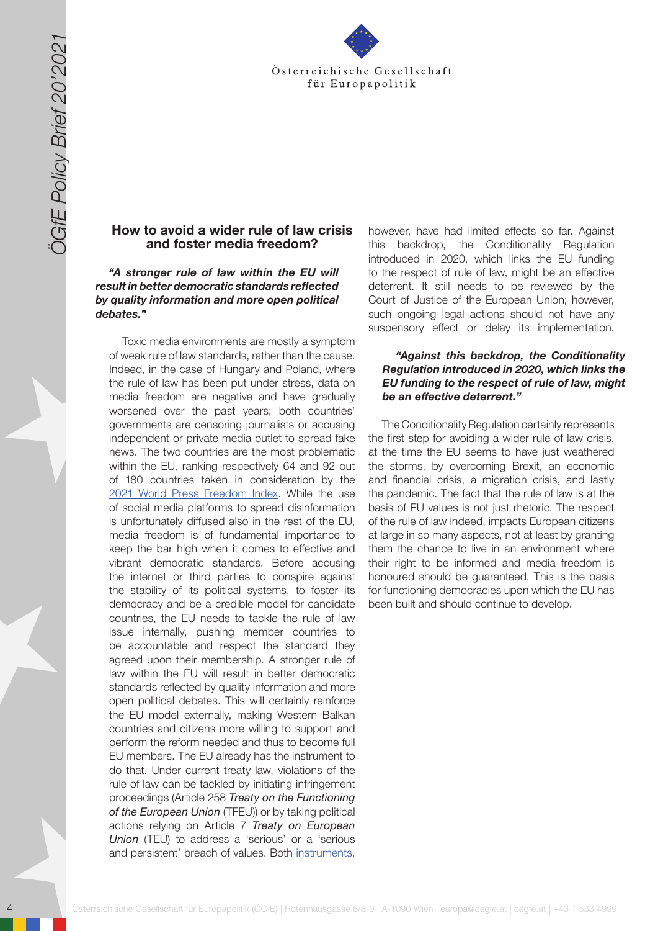

#### **How to avoid a wider rule of law crisis and foster media freedom?**

*"A stronger rule of law within the EU will result in better democratic standards reflected by quality information and more open political debates."*

A Solid Control is the Control is the Control is the Control is the Control is the Control is the Control is the Control is the Control is the Control is the Control is the Control is the Control is the Control is the Con Toxic media environments are mostly a symptom of weak rule of law standards, rather than the cause. Indeed, in the case of Hungary and Poland, where the rule of law has been put under stress, data on media freedom are negative and have gradually worsened over the past years; both countries' governments are censoring journalists or accusing independent or private media outlet to spread fake news. The two countries are the most problematic within the EU, ranking respectively 64 and 92 out of 180 countries taken in consideration by the [2021 World Press Freedom Index.](https://rsf.org/en/ranking) While the use of social media platforms to spread disinformation is unfortunately diffused also in the rest of the EU, media freedom is of fundamental importance to keep the bar high when it comes to effective and vibrant democratic standards. Before accusing the internet or third parties to conspire against the stability of its political systems, to foster its democracy and be a credible model for candidate countries, the EU needs to tackle the rule of law issue internally, pushing member countries to be accountable and respect the standard they agreed upon their membership. A stronger rule of law within the EU will result in better democratic standards reflected by quality information and more open political debates. This will certainly reinforce the EU model externally, making Western Balkan countries and citizens more willing to support and perform the reform needed and thus to become full EU members. The EU already has the instrument to do that. Under current treaty law, violations of the rule of law can be tackled by initiating infringement proceedings (Article 258 *Treaty on the Functioning of the European Union* (TFEU)) or by taking political actions relying on Article 7 *Treaty on European Union* (TEU) to address a 'serious' or a 'serious and persistent' breach of values. Both [instruments,](https://institutdelors.eu/en/publications/__trashed/)

however, have had limited effects so far. Against this backdrop, the Conditionality Regulation introduced in 2020, which links the EU funding to the respect of rule of law, might be an effective deterrent. It still needs to be reviewed by the Court of Justice of the European Union; however, such ongoing legal actions should not have any suspensory effect or delay its implementation.

#### *"Against this backdrop, the Conditionality Regulation introduced in 2020, which links the EU funding to the respect of rule of law, might be an effective deterrent."*

The Conditionality Regulation certainly represents the first step for avoiding a wider rule of law crisis, at the time the EU seems to have just weathered the storms, by overcoming Brexit, an economic and financial crisis, a migration crisis, and lastly the pandemic. The fact that the rule of law is at the basis of EU values is not just rhetoric. The respect of the rule of law indeed, impacts European citizens at large in so many aspects, not at least by granting them the chance to live in an environment where their right to be informed and media freedom is honoured should be guaranteed. This is the basis for functioning democracies upon which the EU has been built and should continue to develop.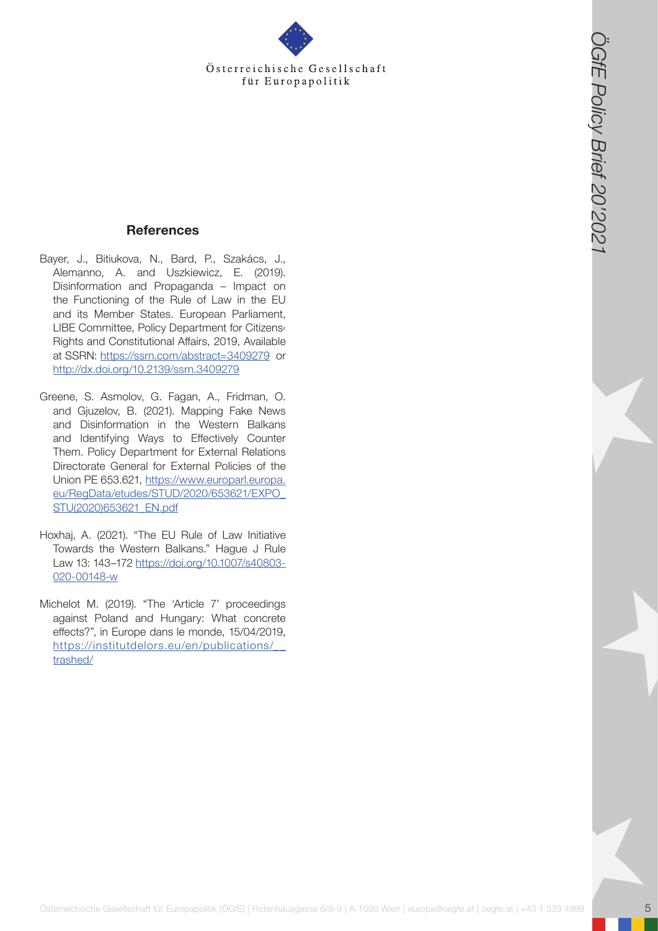Österreichische Gesellschaft für Europapolitik

#### **References**

- Bayer, J., Bitiukova, N., Bard, P., Szakács, J., Alemanno, A. and Uszkiewicz, E. (2019). Disinformation and Propaganda – Impact on the Functioning of the Rule of Law in the EU and its Member States. European Parliament, LIBE Committee, Policy Department for Citizens‹ Rights and Constitutional Affairs, 2019, Available at SSRN: <https://ssrn.com/abstract=3409279> or <http://dx.doi.org/10.2139/ssrn.3409279>
- Greene, S. Asmolov, G. Fagan, A., Fridman, O. and Gjuzelov, B. (2021). Mapping Fake News and Disinformation in the Western Balkans and Identifying Ways to Effectively Counter Them. Policy Department for External Relations Directorate General for External Policies of the Union PE 653.621, [https://www.europarl.europa.](https://www.europarl.europa.eu/RegData/etudes/STUD/2020/653621/EXPO_STU(2020)653621_EN.pdf) [eu/RegData/etudes/STUD/2020/653621/EXPO\\_](https://www.europarl.europa.eu/RegData/etudes/STUD/2020/653621/EXPO_STU(2020)653621_EN.pdf) [STU\(2020\)653621\\_EN.pdf](https://www.europarl.europa.eu/RegData/etudes/STUD/2020/653621/EXPO_STU(2020)653621_EN.pdf)
- Hoxhaj, A. (2021). "The EU Rule of Law Initiative Towards the Western Balkans." Hague J Rule Law 13: 143–172 [https://doi.org/10.1007/s40803-](https://doi.org/10.1007/s40803-020-00148-w) [020-00148-w](https://doi.org/10.1007/s40803-020-00148-w)
- Michelot M. (2019). "The 'Article 7' proceedings against Poland and Hungary: What concrete effects?", in Europe dans le monde, 15/04/2019, [https://institutdelors.eu/en/publications/\\_\\_](https://institutdelors.eu/en/publications/__trashed/) [trashed/](https://institutdelors.eu/en/publications/__trashed/)